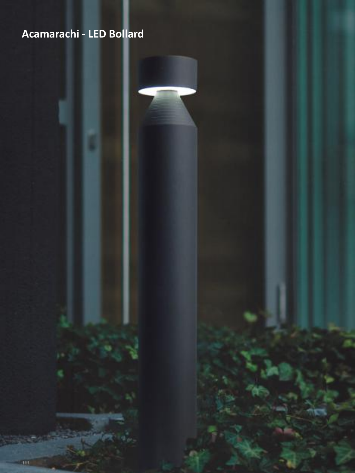# **A-Light - Bollard Acamarachi - LED Bollard**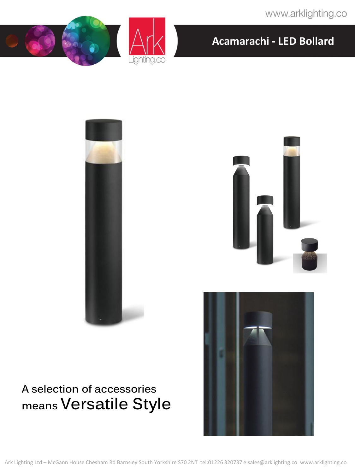www.arklighting.co











# **A selection of accessories means Versatile Style**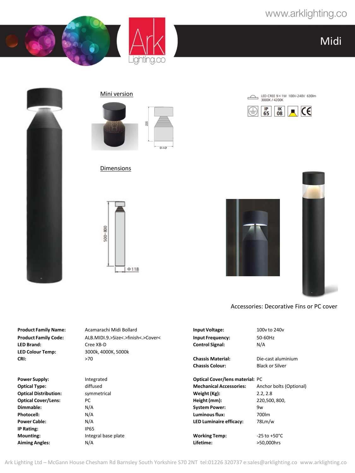LED CREE 9×1W 100V-240V 630lm<br>3000K / 4200K

 $\blacksquare$  CE

 $\frac{1}{10}$ 

Midi









#### Dimensions





 $\triangle$ 

 $rac{IP}{65}$ 

Accessories: Decorative Fins or PC cover

**Product Family Name:** Acamarachi Midi Bollard **Input Voltage:** 100v to 240v **Product Family Code:** ALB.MIDI.9.>Size<.>finish<.>Cover< **Input Frequency:** 50-60Hz<br>**LED Brand:** Cree XB-D **Control Signal:** N/A **LED Brand:** Cree XB-D **Control Signal:** N/A **LED Colour Temp:** 3000k, 4000K, 5000k **CRI:** >70 **Chassis Material:** Die-cast aluminium **Chassis Colour:** Black or Silver **Power Supply:** Integrated **Cover Supply:** Integrated **Optical Cover/lens material:** PC **Optical Type:** diffused **Mechanical Accessories:** Anchor bolts (Optional) **Optical Distribution:** symmetrical **Weight (Kg):** 2.2, 2.8 **Optical Cover/Lens:** PC **Height (mm):** 220,500, 800, **Dimmable:** N/A **N/A System Power:** 9w **Photocell:** N/A **Luminous flux:** 700lm **Power Cable:** N/A **LED Luminaire efficacy:** 78Lm/w **IP Rating:** IP65 **Mounting:** Thegral base plate **Integral base plate Note that Morking Temp:** The 3to +50°C **Aiming Angles:** N/A **Lifetime:** >50,000hrs

Ark Lighting Ltd – McGann House Chesham Rd Barnsley South Yorkshire S70 2NT tel:01226 320737 e:sales@arklighting.co www.arklighting.co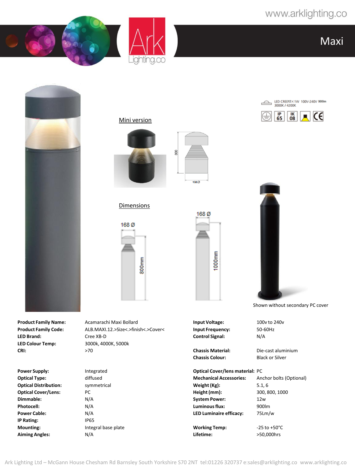



Maxi



**LED Colour Temp:** 3000k, 4000K, 5000k **CRI:** >70 **Chassis Material:** Die-cast aluminium

**Power Supply:** Integrated **Cover Supply:** Integrated **Optical Cover/lens material:** PC **Optical Distribution:** symmetrical **Weight (Kg):** 5.1, 6 **Optical Cover/Lens:** PC **Height (mm):** 300, 800, 1000 **Dimmable:** N/A **System Power:** 12w **Photocell:** N/A **Luminous flux:** 900lm **IP Rating:** IP65

**Product Family Name:** Acamarachi Maxi Bollard **Input Voltage:** 100v to 240v **Product Family Code:** ALB.MAXI.12.>Size<.>finish<.>Cover< **Input Frequency:** 50-60Hz **LED Brand:** Cree XB-D **Control Signal:** N/A





168<sup>Ø</sup>

1000mm

## Dimensions





LED CREE12×1W 100V-240V 9001m 3000K / 4200K





Shown without secondary PC cover

**Chassis Colour:** Black or Silver

**Optical Type:** diffused **Mechanical Accessories:** Anchor bolts (Optional)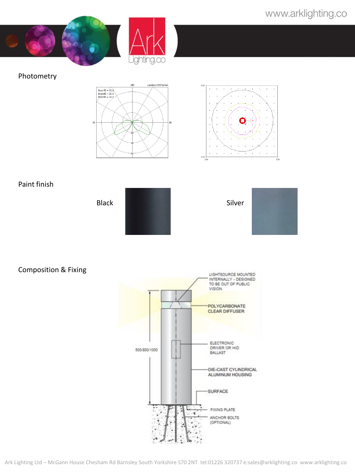

#### Photometry





### Paint finish

Black Silver

### Composition & Fixing